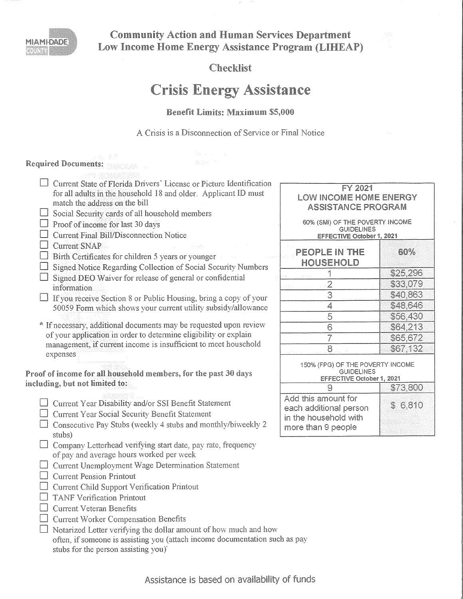

**Community Action and Human Services Department** Low Income Home Energy Assistance Program (LIHEAP)

Checklist

# **Crisis Energy Assistance**

### **Benefit Limits: Maximum \$5,000**

A Cnsis is a Disconnection of Service or Final Notice

### **Required Documents:**

- $\Box$  Current State of Florida Drivers' License or Picture Identification for all adults in the household 18 and older. Applicant ID must match the address on the bill
- $\Box$  Social Security cards of all household members
- $\Box$  Proof of income for last 30 days
- $\Box$  Current Final Bill/Disconnection Notice
- □ Current SNAP
- $\Box$  Birth Certificates for children 5 years or younger
- $\Box$  Signed Notice Regarding Collection of Social Security Numbers
- $\Box$  Signed DEO Waiver for release of general or confidential information
- D If you receive Section 8 or Public Housing, bring a copy of your 50059 Form which shows your current utility subsidy/allowance
- \* If necessary, documents may be requested upon review of your application in order to determine eligibility or explain management, if current income is insufficient to meet household expenses

Proof of income for all household members, for the past 30 days including, but not limited to:

|  | 그 화가 나오면 소리가 있는 것이 그는데.                              |  |  |
|--|------------------------------------------------------|--|--|
|  | Current Year Disability and/or SSI Benefit Statement |  |  |
|  |                                                      |  |  |

- $\Box$  Current Year Social Security Benefit Statement
- $\Box$  Consecutive Pay Stubs (weekly 4 stubs and monthly/biweekly 2 stubs)
- $\Box$  Company Letterhead verifying start date, pay rate, frequency of pay and average hours worked per week
- $\Box$  Current Unemployment Wage Determination Statement
- Current Pension Printout D
- $\Box$  Current Child Support Verification Printout
- **TANF Verification Printout**
- □ Current Veteran Benefits
- $\Box$  Current Worker Compensation Benefits
- $\Box$  Notarized Letter verifying the dollar amount of how much and how often, if someone is assisting you (attach income documentation such as pay stubs for the person assisting you)'

| FY 2021<br><b>LOW INCOME HOME ENERGY</b><br>ASSISTANCE PROGRAM                            |          |  |  |  |  |  |
|-------------------------------------------------------------------------------------------|----------|--|--|--|--|--|
| 60% (SMI) OF THE POVERTY INCOME<br><b>GUIDELINES</b><br><b>EFFECTIVE October 1, 2021</b>  |          |  |  |  |  |  |
| <b>PEOPLE IN THE</b><br><b>HOUSEHOLD</b>                                                  | 60%      |  |  |  |  |  |
| t Bernard av Bank                                                                         | \$25,296 |  |  |  |  |  |
| $\frac{1}{2}$<br>e al Porto                                                               | \$33,079 |  |  |  |  |  |
| 3                                                                                         | \$40,863 |  |  |  |  |  |
| 4                                                                                         | \$48,646 |  |  |  |  |  |
| $\overline{5}$                                                                            | \$56,430 |  |  |  |  |  |
| $\overline{6}$                                                                            | \$64,213 |  |  |  |  |  |
| 7                                                                                         | \$65,672 |  |  |  |  |  |
| 8<br>a shekara                                                                            | \$67,132 |  |  |  |  |  |
| 150% (FPG) OF THE POVERTY INCOME<br><b>GUIDELINES</b><br><b>EFFECTIVE October 1, 2021</b> |          |  |  |  |  |  |
| \$73,800<br>9                                                                             |          |  |  |  |  |  |

| Q                      | \$73,800 |
|------------------------|----------|
| Add this amount for    |          |
| each additional person | \$ 6,810 |
| in the household with  |          |
| more than 9 people     |          |